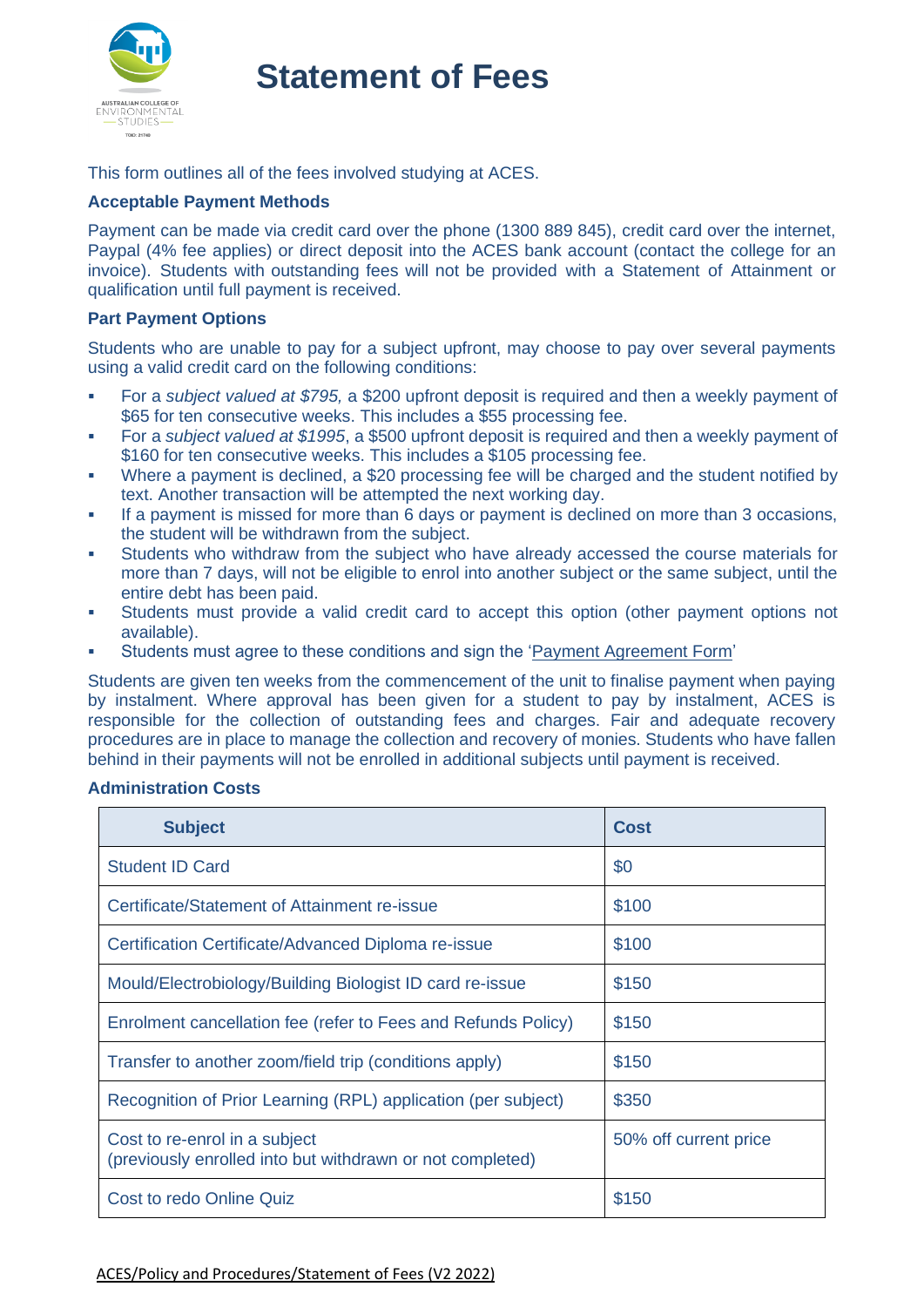

## **Statement of Fees**

This form outlines all of the fees involved studying at ACES.

## **Acceptable Payment Methods**

Payment can be made via credit card over the phone (1300 889 845), credit card over the internet, Paypal (4% fee applies) or direct deposit into the ACES bank account (contact the college for an invoice). Students with outstanding fees will not be provided with a Statement of Attainment or qualification until full payment is received.

#### **Part Payment Options**

Students who are unable to pay for a subject upfront, may choose to pay over several payments using a valid credit card on the following conditions:

- For a *subject valued at \$795,* a \$200 upfront deposit is required and then a weekly payment of \$65 for ten consecutive weeks. This includes a \$55 processing fee.
- For a *subject valued at \$1995*, a \$500 upfront deposit is required and then a weekly payment of \$160 for ten consecutive weeks. This includes a \$105 processing fee.
- Where a payment is declined, a \$20 processing fee will be charged and the student notified by text. Another transaction will be attempted the next working day.
- If a payment is missed for more than 6 days or payment is declined on more than 3 occasions, the student will be withdrawn from the subject.
- Students who withdraw from the subject who have already accessed the course materials for more than 7 days, will not be eligible to enrol into another subject or the same subject, until the entire debt has been paid.
- Students must provide a valid credit card to accept this option (other payment options not available).
- Students must agree to these conditions and sign the ['Payment Agreement](https://aces.edu.au/wp-content/uploads/2022/06/Payment-Agreement-Form-V1-2022.pdf) Form'

Students are given ten weeks from the commencement of the unit to finalise payment when paying by instalment. Where approval has been given for a student to pay by instalment, ACES is responsible for the collection of outstanding fees and charges. Fair and adequate recovery procedures are in place to manage the collection and recovery of monies. Students who have fallen behind in their payments will not be enrolled in additional subjects until payment is received.

## **Administration Costs**

| <b>Subject</b>                                                                             | <b>Cost</b>           |
|--------------------------------------------------------------------------------------------|-----------------------|
| <b>Student ID Card</b>                                                                     | \$0                   |
| Certificate/Statement of Attainment re-issue                                               | \$100                 |
| Certification Certificate/Advanced Diploma re-issue                                        | \$100                 |
| Mould/Electrobiology/Building Biologist ID card re-issue                                   | \$150                 |
| Enrolment cancellation fee (refer to Fees and Refunds Policy)                              | \$150                 |
| Transfer to another zoom/field trip (conditions apply)                                     | \$150                 |
| Recognition of Prior Learning (RPL) application (per subject)                              | \$350                 |
| Cost to re-enrol in a subject<br>(previously enrolled into but withdrawn or not completed) | 50% off current price |
| Cost to redo Online Quiz                                                                   | \$150                 |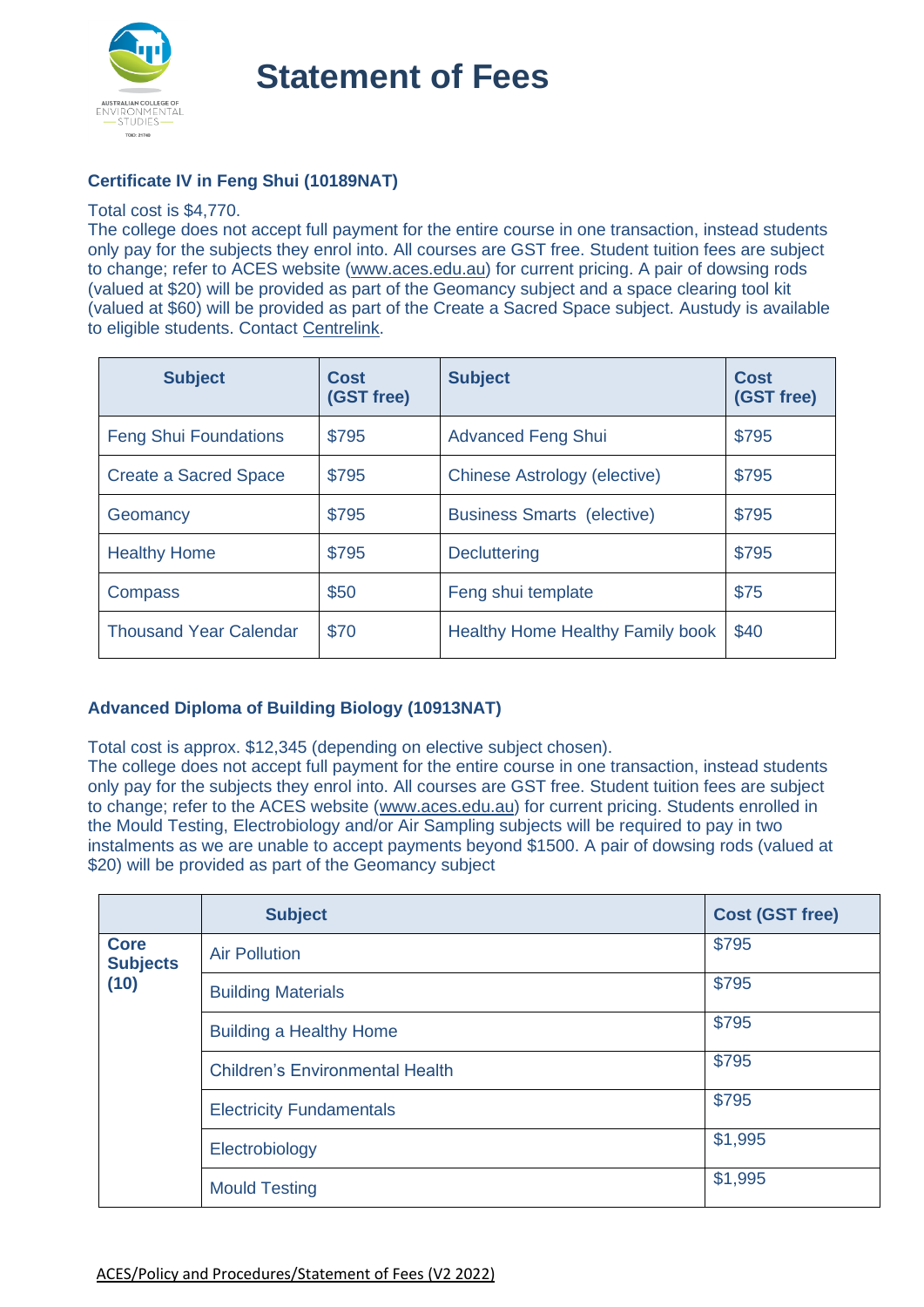

**Statement of Fees**

## **Certificate IV in Feng Shui (10189NAT)**

#### Total cost is \$4,770.

The college does not accept full payment for the entire course in one transaction, instead students only pay for the subjects they enrol into. All courses are GST free. Student tuition fees are subject to change; refer to ACES website [\(www.aces.edu.au\)](http://www.aces.edu.au/) for current pricing. A pair of dowsing rods (valued at \$20) will be provided as part of the Geomancy subject and a space clearing tool kit (valued at \$60) will be provided as part of the Create a Sacred Space subject. Austudy is available to eligible students. Contact [Centrelink.](https://www.servicesaustralia.gov.au/austudy)

| <b>Subject</b>                | Cost<br>(GST free) | <b>Subject</b>                          | Cost<br>(GST free) |
|-------------------------------|--------------------|-----------------------------------------|--------------------|
| <b>Feng Shui Foundations</b>  | \$795              | <b>Advanced Feng Shui</b>               | \$795              |
| <b>Create a Sacred Space</b>  | \$795              | <b>Chinese Astrology (elective)</b>     | \$795              |
| Geomancy                      | \$795              | <b>Business Smarts (elective)</b>       | \$795              |
| <b>Healthy Home</b>           | \$795              | <b>Decluttering</b>                     | \$795              |
| Compass                       | \$50               | Feng shui template                      | \$75               |
| <b>Thousand Year Calendar</b> | \$70               | <b>Healthy Home Healthy Family book</b> | \$40               |

## **Advanced Diploma of Building Biology (10913NAT)**

Total cost is approx. \$12,345 (depending on elective subject chosen).

The college does not accept full payment for the entire course in one transaction, instead students only pay for the subjects they enrol into. All courses are GST free. Student tuition fees are subject to change; refer to the ACES website [\(www.aces.edu.au\)](http://www.aces.edu.au/) for current pricing. Students enrolled in the Mould Testing, Electrobiology and/or Air Sampling subjects will be required to pay in two instalments as we are unable to accept payments beyond \$1500. A pair of dowsing rods (valued at \$20) will be provided as part of the Geomancy subject

|                                        | <b>Subject</b>                         | <b>Cost (GST free)</b> |
|----------------------------------------|----------------------------------------|------------------------|
| <b>Core</b><br><b>Subjects</b><br>(10) | <b>Air Pollution</b>                   | \$795                  |
|                                        | <b>Building Materials</b>              | \$795                  |
|                                        | <b>Building a Healthy Home</b>         | \$795                  |
|                                        | <b>Children's Environmental Health</b> | \$795                  |
|                                        | <b>Electricity Fundamentals</b>        | \$795                  |
|                                        | Electrobiology                         | \$1,995                |
|                                        | <b>Mould Testing</b>                   | \$1,995                |